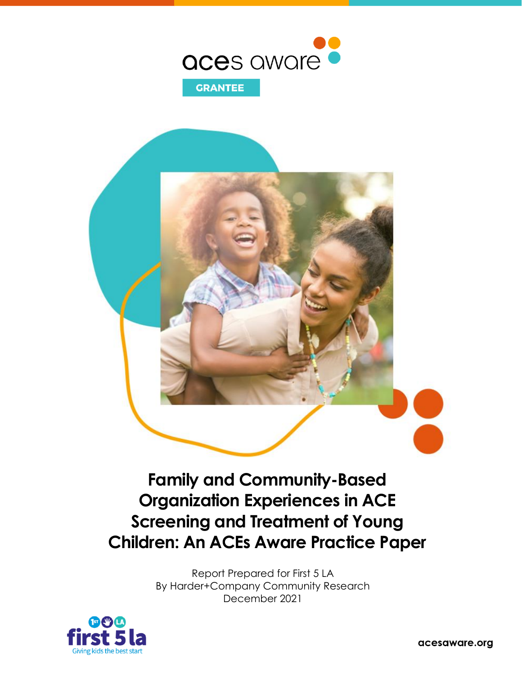

## **Family and Community-Based Organization Experiences in ACE Screening and Treatment of Young Children: An ACEs Aware Practice Paper**

Report Prepared for First 5 LA By Harder+Company Community Research December 2021



acesaware.org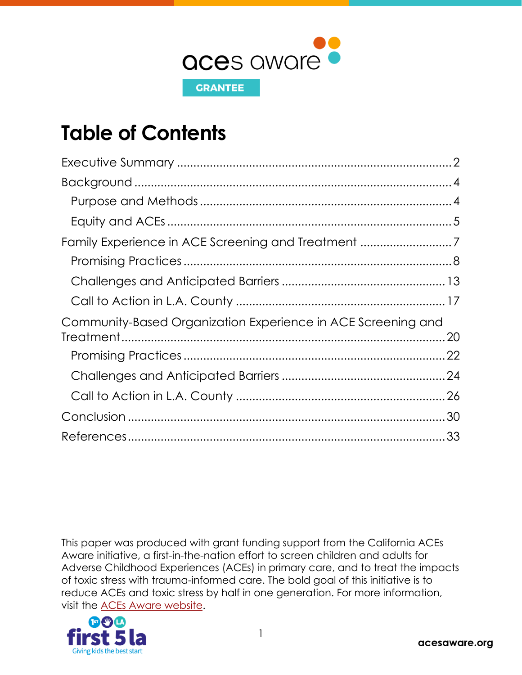

## **Table of Contents**

| Community-Based Organization Experience in ACE Screening and |  |
|--------------------------------------------------------------|--|
|                                                              |  |
|                                                              |  |
|                                                              |  |
| .30                                                          |  |
|                                                              |  |

This paper was produced with grant funding support from the California ACEs Aware initiative, a first-in-the-nation effort to screen children and adults for Adverse Childhood Experiences (ACEs) in primary care, and to treat the impacts of toxic stress with trauma-informed care. The bold goal of this initiative is to reduce ACEs and toxic stress by half in one generation. For more information, visit the [ACEs Aware website.](https://www.acesaware.org/)

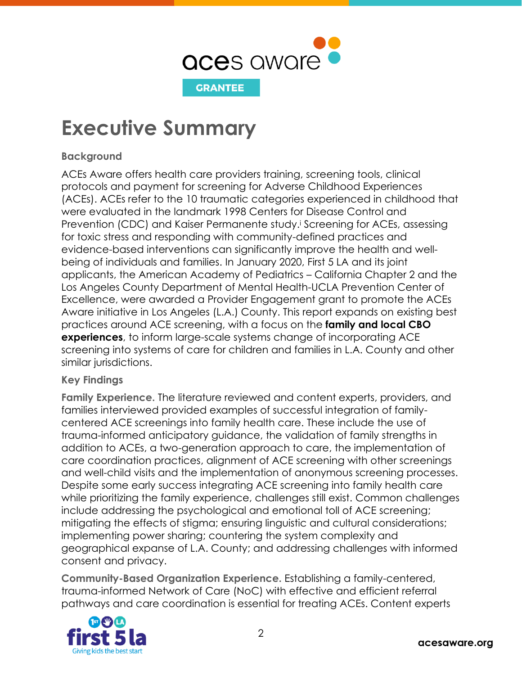

## <span id="page-2-0"></span>**Executive Summary**

### **Background**

ACEs Aware offers health care providers training, screening tools, clinical protocols and payment for screening for Adverse Childhood Experiences (ACEs). ACEs refer to the 10 traumatic categories experienced in childhood that were evaluated in the landmark 1998 Centers for Disease Control and Prevention (CDC) and Kaiser Permanente study. <sup>i</sup> Screening for ACEs, assessing for toxic stress and responding with community-defined practices and evidence-based interventions can significantly improve the health and wellbeing of individuals and families. In January 2020, First 5 LA and its joint applicants, the American Academy of Pediatrics – California Chapter 2 and the Los Angeles County Department of Mental Health-UCLA Prevention Center of Excellence, were awarded a Provider Engagement grant to promote the ACEs Aware initiative in Los Angeles (L.A.) County. This report expands on existing best practices around ACE screening, with a focus on the **family and local CBO experiences**, to inform large-scale systems change of incorporating ACE screening into systems of care for children and families in L.A. County and other similar jurisdictions.

### **Key Findings**

**Family Experience.** The literature reviewed and content experts, providers, and families interviewed provided examples of successful integration of familycentered ACE screenings into family health care. These include the use of trauma-informed anticipatory guidance, the validation of family strengths in addition to ACEs, a two-generation approach to care, the implementation of care coordination practices, alignment of ACE screening with other screenings and well-child visits and the implementation of anonymous screening processes. Despite some early success integrating ACE screening into family health care while prioritizing the family experience, challenges still exist. Common challenges include addressing the psychological and emotional toll of ACE screening; mitigating the effects of stigma; ensuring linguistic and cultural considerations; implementing power sharing; countering the system complexity and geographical expanse of L.A. County; and addressing challenges with informed consent and privacy.

**Community-Based Organization Experience.** Establishing a family-centered, trauma-informed Network of Care (NoC) with effective and efficient referral pathways and care coordination is essential for treating ACEs. Content experts

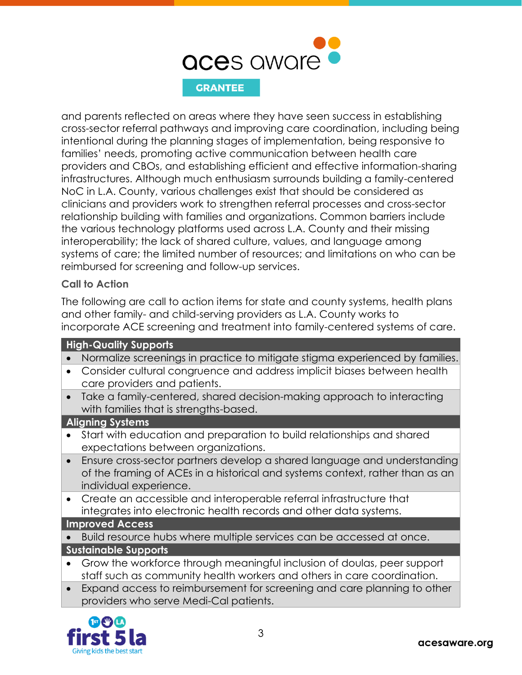

and parents reflected on areas where they have seen success in establishing cross-sector referral pathways and improving care coordination, including being intentional during the planning stages of implementation, being responsive to families' needs, promoting active communication between health care providers and CBOs, and establishing efficient and effective information-sharing infrastructures. Although much enthusiasm surrounds building a family-centered NoC in L.A. County, various challenges exist that should be considered as clinicians and providers work to strengthen referral processes and cross-sector relationship building with families and organizations. Common barriers include the various technology platforms used across L.A. County and their missing interoperability; the lack of shared culture, values, and language among systems of care; the limited number of resources; and limitations on who can be reimbursed for screening and follow-up services.

### **Call to Action**

The following are call to action items for state and county systems, health plans and other family- and child-serving providers as L.A. County works to incorporate ACE screening and treatment into family-centered systems of care.

### **High-Quality Supports**

- Normalize screenings in practice to mitigate stigma experienced by families.
- Consider cultural congruence and address implicit biases between health care providers and patients.
- Take a family-centered, shared decision-making approach to interacting with families that is strengths-based.

### **Aligning Systems**

- Start with education and preparation to build relationships and shared expectations between organizations.
- Ensure cross-sector partners develop a shared language and understanding of the framing of ACEs in a historical and systems context, rather than as an individual experience.
- Create an accessible and interoperable referral infrastructure that integrates into electronic health records and other data systems.

### **Improved Access**

- Build resource hubs where multiple services can be accessed at once. **Sustainable Supports**
- Grow the workforce through meaningful inclusion of doulas, peer support staff such as community health workers and others in care coordination.
- Expand access to reimbursement for screening and care planning to other providers who serve Medi-Cal patients.

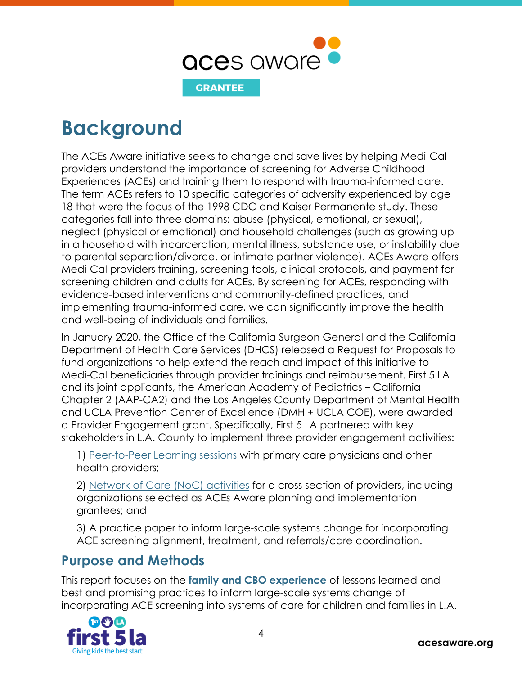

<span id="page-4-0"></span>**Background**

The ACEs Aware initiative seeks to change and save lives by helping Medi-Cal providers understand the importance of screening for Adverse Childhood Experiences (ACEs) and training them to respond with trauma-informed care. The term ACEs refers to 10 specific categories of adversity experienced by age 18 that were the focus of the 1998 CDC and Kaiser Permanente study. These categories fall into three domains: abuse (physical, emotional, or sexual), neglect (physical or emotional) and household challenges (such as growing up in a household with incarceration, mental illness, substance use, or instability due to parental separation/divorce, or intimate partner violence). ACEs Aware offers Medi-Cal providers training, screening tools, clinical protocols, and payment for screening children and adults for ACEs. By screening for ACEs, responding with evidence-based interventions and community-defined practices, and implementing trauma-informed care, we can significantly improve the health and well-being of individuals and families.

In January 2020, the Office of the California Surgeon General and the California Department of Health Care Services (DHCS) released a Request for Proposals to fund organizations to help extend the reach and impact of this initiative to Medi-Cal beneficiaries through provider trainings and reimbursement. First 5 LA and its joint applicants, the American Academy of Pediatrics – California Chapter 2 (AAP-CA2) and the Los Angeles County Department of Mental Health and UCLA Prevention Center of Excellence (DMH + UCLA COE), were awarded a Provider Engagement grant. Specifically, First 5 LA partnered with key stakeholders in L.A. County to implement three provider engagement activities:

1) [Peer-to-Peer Learning sessions](https://www.first5la.org/wp-content/uploads/2021/08/F5LA-ACEs-Aware-Proceedings-Report-P2P_FINAL.pdf) with primary care physicians and other health providers;

2) [Network of Care](https://www.first5la.org/wp-content/uploads/2021/08/F5LA-ACEs-Aware-Proceedings-Report-NoC_FINAL_6.28.21.pdf) (NoC) activities for a cross section of providers, including organizations selected as ACEs Aware planning and implementation grantees; and

3) A practice paper to inform large-scale systems change for incorporating ACE screening alignment, treatment, and referrals/care coordination.

### <span id="page-4-1"></span>**Purpose and Methods**

This report focuses on the **family and CBO experience** of lessons learned and best and promising practices to inform large-scale systems change of incorporating ACE screening into systems of care for children and families in L.A.

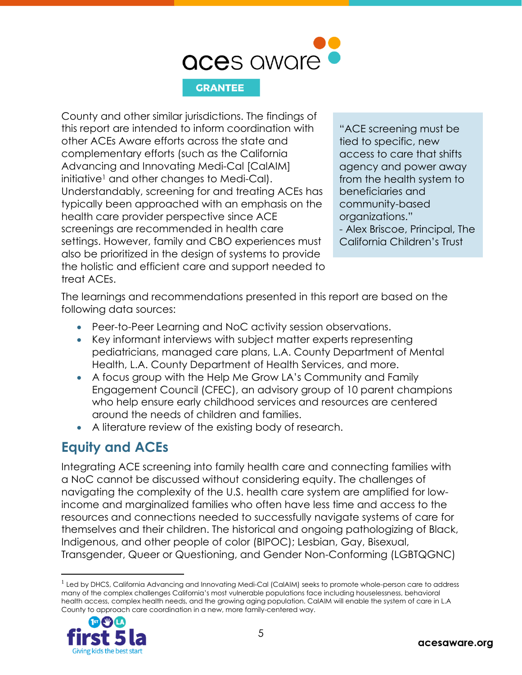

County and other similar jurisdictions. The findings of this report are intended to inform coordination with other ACEs Aware efforts across the state and complementary efforts (such as the California Advancing and Innovating Medi-Cal [CalAIM] initiative<sup>1</sup> and other changes to Medi-Cal). Understandably, screening for and treating ACEs has typically been approached with an emphasis on the health care provider perspective since ACE screenings are recommended in health care settings. However, family and CBO experiences must also be prioritized in the design of systems to provide the holistic and efficient care and support needed to treat ACEs.

"ACE screening must be tied to specific, new access to care that shifts agency and power away from the health system to beneficiaries and community-based organizations." - Alex Briscoe, Principal, The California Children's Trust

The learnings and recommendations presented in this report are based on the following data sources:

- Peer-to-Peer Learning and NoC activity session observations.
- Key informant interviews with subject matter experts representing pediatricians, managed care plans, L.A. County Department of Mental Health, L.A. County Department of Health Services, and more.
- A focus group with the Help Me Grow LA's Community and Family Engagement Council (CFEC), an advisory group of 10 parent champions who help ensure early childhood services and resources are centered around the needs of children and families.
- A literature review of the existing body of research.

### <span id="page-5-0"></span>**Equity and ACEs**

Integrating ACE screening into family health care and connecting families with a NoC cannot be discussed without considering equity. The challenges of navigating the complexity of the U.S. health care system are amplified for lowincome and marginalized families who often have less time and access to the resources and connections needed to successfully navigate systems of care for themselves and their children. The historical and ongoing pathologizing of Black, Indigenous, and other people of color (BIPOC); Lesbian, Gay, Bisexual, Transgender, Queer or Questioning, and Gender Non-Conforming (LGBTQGNC)

<sup>&</sup>lt;sup>1</sup> Led by DHCS, California Advancing and Innovating Medi-Cal (CalAIM) seeks to promote whole-person care to address many of the complex challenges California's most vulnerable populations face including houselessness, behavioral health access, complex health needs, and the growing aging population. CalAIM will enable the system of care in L.A County to approach care coordination in a new, more family-centered way.

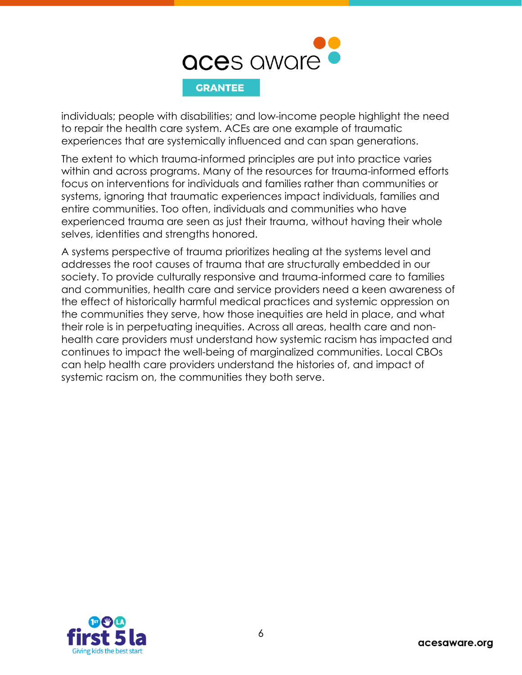

individuals; people with disabilities; and low-income people highlight the need to repair the health care system. ACEs are one example of traumatic experiences that are systemically influenced and can span generations.

The extent to which trauma-informed principles are put into practice varies within and across programs. Many of the resources for trauma-informed efforts focus on interventions for individuals and families rather than communities or systems, ignoring that traumatic experiences impact individuals, families and entire communities. Too often, individuals and communities who have experienced trauma are seen as just their trauma, without having their whole selves, identities and strengths honored.

A systems perspective of trauma prioritizes healing at the systems level and addresses the root causes of trauma that are structurally embedded in our society. To provide culturally responsive and trauma-informed care to families and communities, health care and service providers need a keen awareness of the effect of historically harmful medical practices and systemic oppression on the communities they serve, how those inequities are held in place, and what their role is in perpetuating inequities. Across all areas, health care and nonhealth care providers must understand how systemic racism has impacted and continues to impact the well-being of marginalized communities. Local CBOs can help health care providers understand the histories of, and impact of systemic racism on, the communities they both serve.

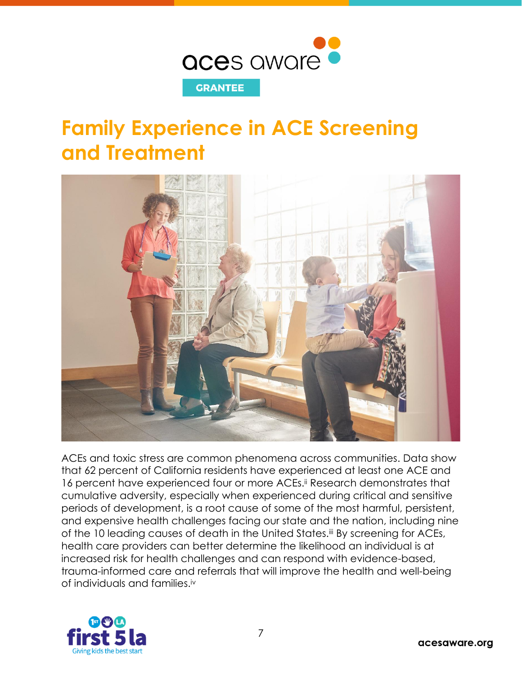

## <span id="page-7-0"></span>**Family Experience in ACE Screening and Treatment**



ACEs and toxic stress are common phenomena across communities. Data show that 62 percent of California residents have experienced at least one ACE and 16 percent have experienced four or more ACEs.<sup>ii</sup> Research demonstrates that cumulative adversity, especially when experienced during critical and sensitive periods of development, is a root cause of some of the most harmful, persistent, and expensive health challenges facing our state and the nation, including nine of the 10 leading causes of death in the United States.<sup>iij</sup> By screening for ACEs, health care providers can better determine the likelihood an individual is at increased risk for health challenges and can respond with evidence-based, trauma-informed care and referrals that will improve the health and well-being of individuals and families.iv

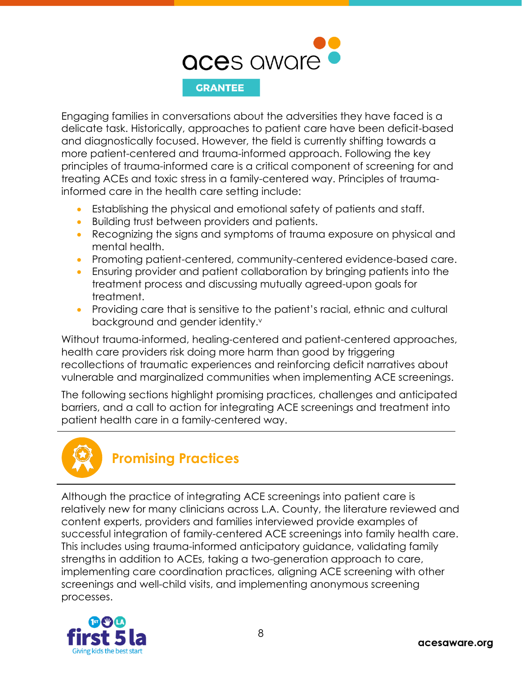

Engaging families in conversations about the adversities they have faced is a delicate task. Historically, approaches to patient care have been deficit-based and diagnostically focused. However, the field is currently shifting towards a more patient-centered and trauma-informed approach. Following the key principles of trauma-informed care is a critical component of screening for and treating ACEs and toxic stress in a family-centered way. Principles of traumainformed care in the health care setting include:

- Establishing the physical and emotional safety of patients and staff.
- Building trust between providers and patients.
- Recognizing the signs and symptoms of trauma exposure on physical and mental health.
- Promoting patient-centered, community-centered evidence-based care.
- Ensuring provider and patient collaboration by bringing patients into the treatment process and discussing mutually agreed-upon goals for treatment.
- Providing care that is sensitive to the patient's racial, ethnic and cultural background and gender identity.<sup>v</sup>

Without trauma-informed, healing-centered and patient-centered approaches, health care providers risk doing more harm than good by triggering recollections of traumatic experiences and reinforcing deficit narratives about vulnerable and marginalized communities when implementing ACE screenings.

The following sections highlight promising practices, challenges and anticipated barriers, and a call to action for integrating ACE screenings and treatment into patient health care in a family-centered way.

<span id="page-8-0"></span>

### **Promising Practices**

Although the practice of integrating ACE screenings into patient care is relatively new for many clinicians across L.A. County, the literature reviewed and content experts, providers and families interviewed provide examples of successful integration of family-centered ACE screenings into family health care. This includes using trauma-informed anticipatory guidance, validating family strengths in addition to ACEs, taking a two-generation approach to care, implementing care coordination practices, aligning ACE screening with other screenings and well-child visits, and implementing anonymous screening processes.

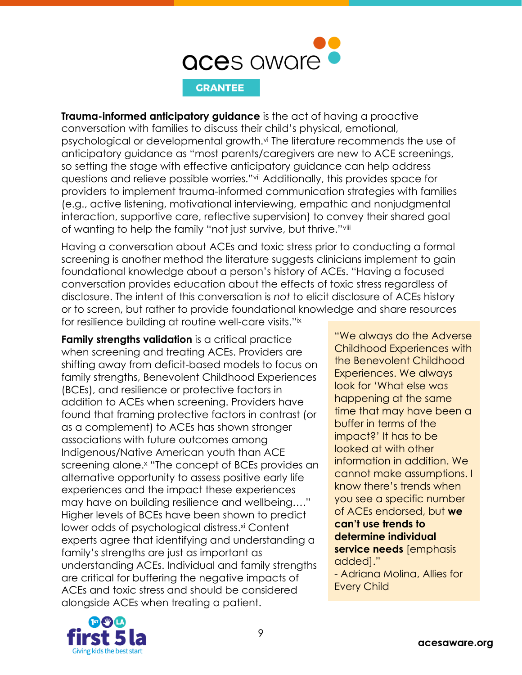

**Trauma-informed anticipatory guidance** is the act of having a proactive conversation with families to discuss their child's physical, emotional, psychological or developmental growth.<sup>vi</sup> The literature recommends the use of anticipatory guidance as "most parents/caregivers are new to ACE screenings, so setting the stage with effective anticipatory guidance can help address questions and relieve possible worries."vii Additionally, this provides space for providers to implement trauma-informed communication strategies with families (e.g., active listening, motivational interviewing, empathic and nonjudgmental interaction, supportive care, reflective supervision) to convey their shared goal of wanting to help the family "not just survive, but thrive."viii

Having a conversation about ACEs and toxic stress prior to conducting a formal screening is another method the literature suggests clinicians implement to gain foundational knowledge about a person's history of ACEs. "Having a focused conversation provides education about the effects of toxic stress regardless of disclosure. The intent of this conversation is *not* to elicit disclosure of ACEs history or to screen, but rather to provide foundational knowledge and share resources for resilience building at routine well-care visits."ix

**Family strengths validation** is a critical practice when screening and treating ACEs. Providers are shifting away from deficit-based models to focus on family strengths, Benevolent Childhood Experiences (BCEs), and resilience or protective factors in addition to ACEs when screening. Providers have found that framing protective factors in contrast (or as a complement) to ACEs has shown stronger associations with future outcomes among Indigenous/Native American youth than ACE screening alone. <sup>x</sup> "The concept of BCEs provides an alternative opportunity to assess positive early life experiences and the impact these experiences may have on building resilience and wellbeing…." Higher levels of BCEs have been shown to predict lower odds of psychological distress. xi Content experts agree that identifying and understanding a family's strengths are just as important as understanding ACEs. Individual and family strengths are critical for buffering the negative impacts of ACEs and toxic stress and should be considered alongside ACEs when treating a patient.

"We always do the Adverse Childhood Experiences with the Benevolent Childhood Experiences. We always look for 'What else was happening at the same time that may have been a buffer in terms of the impact?' It has to be looked at with other information in addition. We cannot make assumptions. I know there's trends when you see a specific number of ACEs endorsed, but **we can't use trends to determine individual service needs** [emphasis added]." - Adriana Molina, Allies for

Every Child

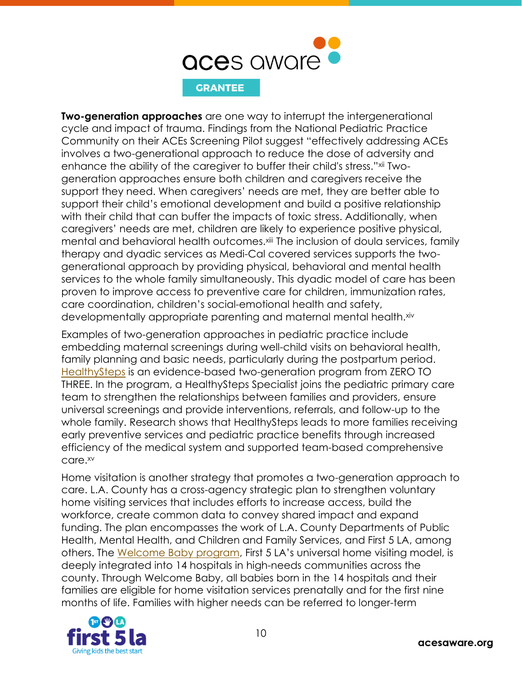

**Two-generation approaches** are one way to interrupt the intergenerational cycle and impact of trauma. Findings from the National Pediatric Practice Community on their ACEs Screening Pilot suggest "effectively addressing ACEs involves a two-generational approach to reduce the dose of adversity and enhance the ability of the caregiver to buffer their child's stress."xii Twogeneration approaches ensure both children and caregivers receive the support they need. When caregivers' needs are met, they are better able to support their child's emotional development and build a positive relationship with their child that can buffer the impacts of toxic stress. Additionally, when caregivers' needs are met, children are likely to experience positive physical, mental and behavioral health outcomes.<sup>xiii</sup> The inclusion of doula services, family therapy and dyadic services as Medi-Cal covered services supports the twogenerational approach by providing physical, behavioral and mental health services to the whole family simultaneously. This dyadic model of care has been proven to improve access to preventive care for children, immunization rates, care coordination, children's social-emotional health and safety, developmentally appropriate parenting and maternal mental health. xiv

Examples of two-generation approaches in pediatric practice include embedding maternal screenings during well-child visits on behavioral health, family planning and basic needs, particularly during the postpartum period. [HealthySteps](https://www.healthysteps.org/) is an evidence-based two-generation program from ZERO TO THREE. In the program, a HealthySteps Specialist joins the pediatric primary care team to strengthen the relationships between families and providers, ensure universal screenings and provide interventions, referrals, and follow-up to the whole family. Research shows that HealthySteps leads to more families receiving early preventive services and pediatric practice benefits through increased efficiency of the medical system and supported team-based comprehensive care.xv

Home visitation is another strategy that promotes a two-generation approach to care. L.A. County has a cross-agency strategic plan to strengthen voluntary home visiting services that includes efforts to increase access, build the workforce, create common data to convey shared impact and expand funding. The plan encompasses the work of L.A. County Departments of Public Health, Mental Health, and Children and Family Services, and First 5 LA, among others. The [Welcome Baby program](https://www.first5la.org/welcome-baby/), First 5 LA's universal home visiting model, is deeply integrated into 14 hospitals in high-needs communities across the county. Through Welcome Baby, all babies born in the 14 hospitals and their families are eligible for home visitation services prenatally and for the first nine months of life. Families with higher needs can be referred to longer-term

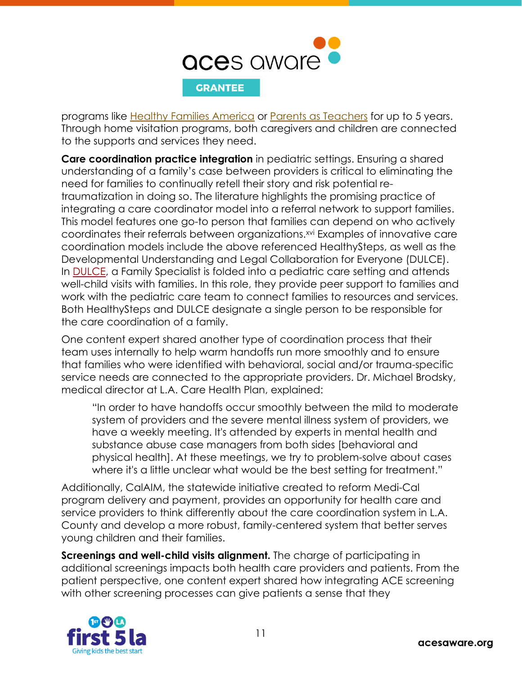

programs like [Healthy Families America](https://www.healthyfamiliesamerica.org/) or [Parents as](https://parentsasteachers.org/) Teachers for up to 5 years. Through home visitation programs, both caregivers and children are connected to the supports and services they need.

**Care coordination practice integration** in pediatric settings. Ensuring a shared understanding of a family's case between providers is critical to eliminating the need for families to continually retell their story and risk potential retraumatization in doing so. The literature highlights the promising practice of integrating a care coordinator model into a referral network to support families. This model features one go-to person that families can depend on who actively coordinates their referrals between organizations.<sup>xvi</sup> Examples of innovative care coordination models include the above referenced HealthySteps, as well as the Developmental Understanding and Legal Collaboration for Everyone (DULCE). In [DULCE,](https://cssp.org/our-work/project/dulce/) a Family Specialist is folded into a pediatric care setting and attends well-child visits with families. In this role, they provide peer support to families and work with the pediatric care team to connect families to resources and services. Both HealthySteps and DULCE designate a single person to be responsible for the care coordination of a family.

One content expert shared another type of coordination process that their team uses internally to help warm handoffs run more smoothly and to ensure that families who were identified with behavioral, social and/or trauma-specific service needs are connected to the appropriate providers. Dr. Michael Brodsky, medical director at L.A. Care Health Plan, explained:

"In order to have handoffs occur smoothly between the mild to moderate system of providers and the severe mental illness system of providers, we have a weekly meeting. It's attended by experts in mental health and substance abuse case managers from both sides [behavioral and physical health]. At these meetings, we try to problem-solve about cases where it's a little unclear what would be the best setting for treatment."

Additionally, CalAIM, the statewide initiative created to reform Medi-Cal program delivery and payment, provides an opportunity for health care and service providers to think differently about the care coordination system in L.A. County and develop a more robust, family-centered system that better serves young children and their families.

**Screenings and well-child visits alignment.** The charge of participating in additional screenings impacts both health care providers and patients. From the patient perspective, one content expert shared how integrating ACE screening with other screening processes can give patients a sense that they

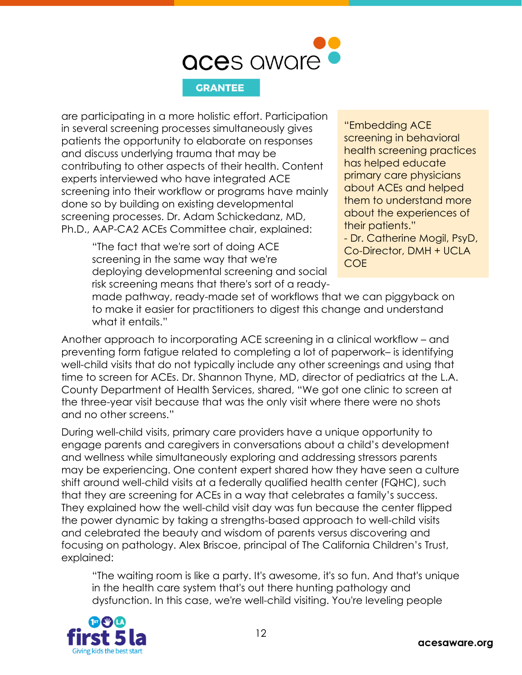

are participating in a more holistic effort. Participation in several screening processes simultaneously gives patients the opportunity to elaborate on responses and discuss underlying trauma that may be contributing to other aspects of their health. Content experts interviewed who have integrated ACE screening into their workflow or programs have mainly done so by building on existing developmental screening processes. Dr. Adam Schickedanz, MD, Ph.D., AAP-CA2 ACEs Committee chair, explained:

> "The fact that we're sort of doing ACE screening in the same way that we're deploying developmental screening and social risk screening means that there's sort of a ready-

"Embedding ACE screening in behavioral health screening practices has helped educate primary care physicians about ACEs and helped them to understand more about the experiences of their patients." - Dr. Catherine Mogil, PsyD, Co-Director, DMH + UCLA COE

made pathway, ready-made set of workflows that we can piggyback on to make it easier for practitioners to digest this change and understand what it entails."

Another approach to incorporating ACE screening in a clinical workflow – and preventing form fatigue related to completing a lot of paperwork– is identifying well-child visits that do not typically include any other screenings and using that time to screen for ACEs. Dr. Shannon Thyne, MD, director of pediatrics at the L.A. County Department of Health Services, shared, "We got one clinic to screen at the three-year visit because that was the only visit where there were no shots and no other screens."

During well-child visits, primary care providers have a unique opportunity to engage parents and caregivers in conversations about a child's development and wellness while simultaneously exploring and addressing stressors parents may be experiencing. One content expert shared how they have seen a culture shift around well-child visits at a federally qualified health center (FQHC), such that they are screening for ACEs in a way that celebrates a family's success. They explained how the well-child visit day was fun because the center flipped the power dynamic by taking a strengths-based approach to well-child visits and celebrated the beauty and wisdom of parents versus discovering and focusing on pathology. Alex Briscoe, principal of The California Children's Trust, explained:

"The waiting room is like a party. It's awesome, it's so fun. And that's unique in the health care system that's out there hunting pathology and dysfunction. In this case, we're well-child visiting. You're leveling people

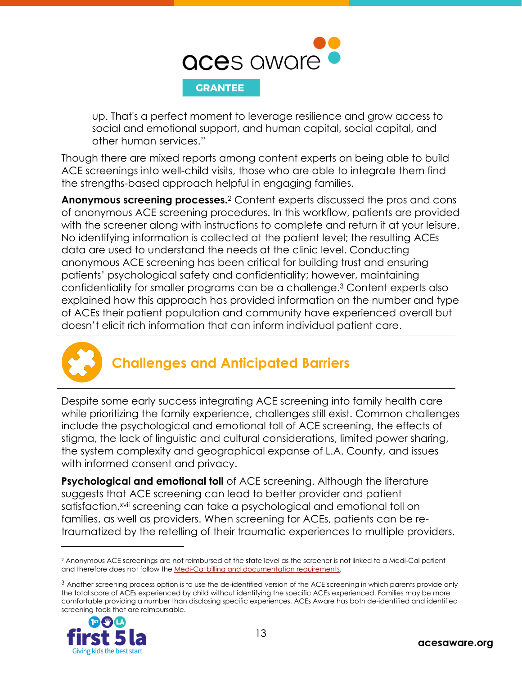

up. That's a perfect moment to leverage resilience and grow access to social and emotional support, and human capital, social capital, and other human services."

Though there are mixed reports among content experts on being able to build ACE screenings into well-child visits, those who are able to integrate them find the strengths-based approach helpful in engaging families.

Anonymous screening processes.<sup>2</sup> Content experts discussed the pros and cons of anonymous ACE screening procedures. In this workflow, patients are provided with the screener along with instructions to complete and return it at your leisure. No identifying information is collected at the patient level; the resulting ACEs data are used to understand the needs at the clinic level. Conducting anonymous ACE screening has been critical for building trust and ensuring patients' psychological safety and confidentiality; however, maintaining confidentiality for smaller programs can be a challenge.<sup>3</sup> Content experts also explained how this approach has provided information on the number and type of ACEs their patient population and community have experienced overall but doesn't elicit rich information that can inform individual patient care.



### <span id="page-13-0"></span>**Challenges and Anticipated Barriers**

Despite some early success integrating ACE screening into family health care while prioritizing the family experience, challenges still exist. Common challenges include the psychological and emotional toll of ACE screening, the effects of stigma, the lack of linguistic and cultural considerations, limited power sharing, the system complexity and geographical expanse of L.A. County, and issues with informed consent and privacy.

**Psychological and emotional toll** of ACE screening. Although the literature suggests that ACE screening can lead to better provider and patient satisfaction, xvii screening can take a psychological and emotional toll on families, as well as providers. When screening for ACEs, patients can be retraumatized by the retelling of their traumatic experiences to multiple providers.

<sup>&</sup>lt;sup>3</sup> Another screening process option is to use the de-identified version of the ACE screening in which parents provide only the total score of ACEs experienced by child without identifying the specific ACEs experienced. Families may be more comfortable providing a number than disclosing specific experiences. ACEs Aware has both de-identified and identified screening tools that are reimbursable.



<sup>2</sup> Anonymous ACE screenings are not reimbursed at the state level as the screener is not linked to a Medi-Cal patient and therefore does not follow th[e Medi-Cal billing and documentation requirements.](https://www.acesaware.org/learn-about-screening/billing-payment/)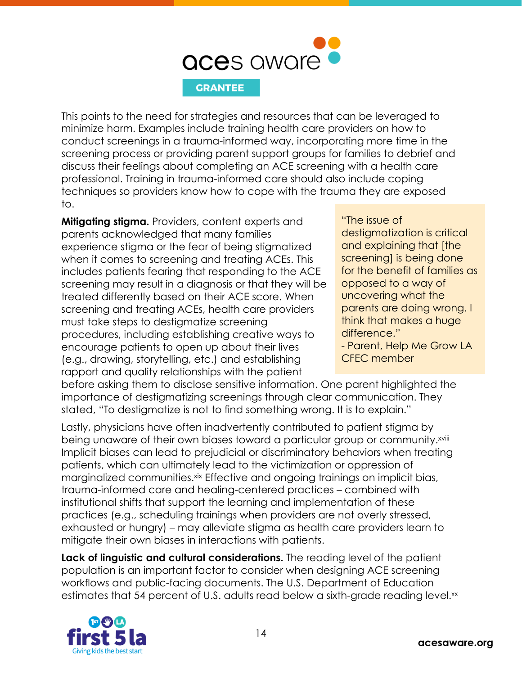

This points to the need for strategies and resources that can be leveraged to minimize harm. Examples include training health care providers on how to conduct screenings in a trauma-informed way, incorporating more time in the screening process or providing parent support groups for families to debrief and discuss their feelings about completing an ACE screening with a health care professional. Training in trauma-informed care should also include coping techniques so providers know how to cope with the trauma they are exposed to.

**Mitigating stigma.** Providers, content experts and parents acknowledged that many families experience stigma or the fear of being stigmatized when it comes to screening and treating ACEs. This includes patients fearing that responding to the ACE screening may result in a diagnosis or that they will be treated differently based on their ACE score. When screening and treating ACEs, health care providers must take steps to destigmatize screening procedures, including establishing creative ways to encourage patients to open up about their lives (e.g., drawing, storytelling, etc.) and establishing rapport and quality relationships with the patient

"The issue of destigmatization is critical and explaining that [the screening] is being done for the benefit of families as opposed to a way of uncovering what the parents are doing wrong. I think that makes a huge difference."

- Parent, Help Me Grow LA CFEC member

before asking them to disclose sensitive information. One parent highlighted the importance of destigmatizing screenings through clear communication. They stated, "To destigmatize is not to find something wrong. It is to explain."

Lastly, physicians have often inadvertently contributed to patient stigma by being unaware of their own biases toward a particular group or community.<sup>xviii</sup> Implicit biases can lead to prejudicial or discriminatory behaviors when treating patients, which can ultimately lead to the victimization or oppression of marginalized communities.xix Effective and ongoing trainings on implicit bias, trauma-informed care and healing-centered practices – combined with institutional shifts that support the learning and implementation of these practices (e.g., scheduling trainings when providers are not overly stressed, exhausted or hungry) – may alleviate stigma as health care providers learn to mitigate their own biases in interactions with patients.

**Lack of linguistic and cultural considerations.** The reading level of the patient population is an important factor to consider when designing ACE screening workflows and public-facing documents. The U.S. Department of Education estimates that 54 percent of U.S. adults read below a sixth-grade reading level.<sup>xx</sup>

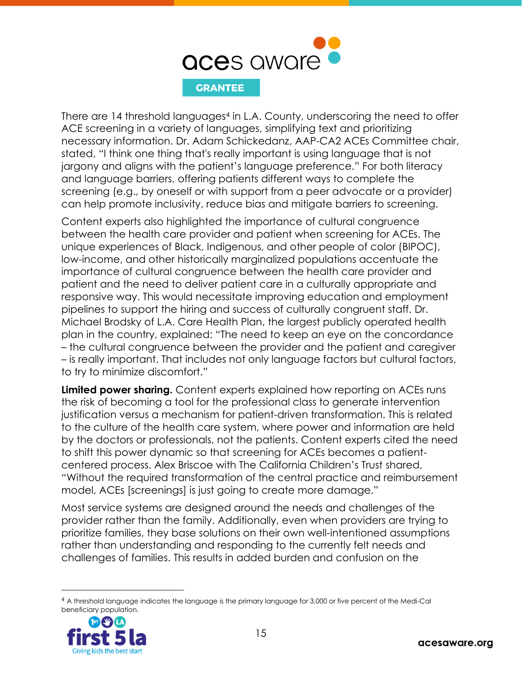

There are 14 threshold languages<sup>4</sup> in L.A. County, underscoring the need to offer ACE screening in a variety of languages, simplifying text and prioritizing necessary information. Dr. Adam Schickedanz, AAP-CA2 ACEs Committee chair, stated, "I think one thing that's really important is using language that is not jargony and aligns with the patient's language preference." For both literacy and language barriers, offering patients different ways to complete the screening (e.g., by oneself or with support from a peer advocate or a provider) can help promote inclusivity, reduce bias and mitigate barriers to screening.

Content experts also highlighted the importance of cultural congruence between the health care provider and patient when screening for ACEs. The unique experiences of Black, Indigenous, and other people of color (BIPOC), low-income, and other historically marginalized populations accentuate the importance of cultural congruence between the health care provider and patient and the need to deliver patient care in a culturally appropriate and responsive way. This would necessitate improving education and employment pipelines to support the hiring and success of culturally congruent staff. Dr. Michael Brodsky of L.A. Care Health Plan, the largest publicly operated health plan in the country, explained: "The need to keep an eye on the concordance – the cultural congruence between the provider and the patient and caregiver – is really important. That includes not only language factors but cultural factors, to try to minimize discomfort."

**Limited power sharing.** Content experts explained how reporting on ACEs runs the risk of becoming a tool for the professional class to generate intervention justification versus a mechanism for patient-driven transformation. This is related to the culture of the health care system, where power and information are held by the doctors or professionals, not the patients. Content experts cited the need to shift this power dynamic so that screening for ACEs becomes a patientcentered process. Alex Briscoe with The California Children's Trust shared, "Without the required transformation of the central practice and reimbursement model, ACEs [screenings] is just going to create more damage."

Most service systems are designed around the needs and challenges of the provider rather than the family. Additionally, even when providers are trying to prioritize families, they base solutions on their own well-intentioned assumptions rather than understanding and responding to the currently felt needs and challenges of families. This results in added burden and confusion on the

<sup>4</sup> A threshold language indicates the language is the primary language for 3,000 or five percent of the Medi-Cal beneficiary population.

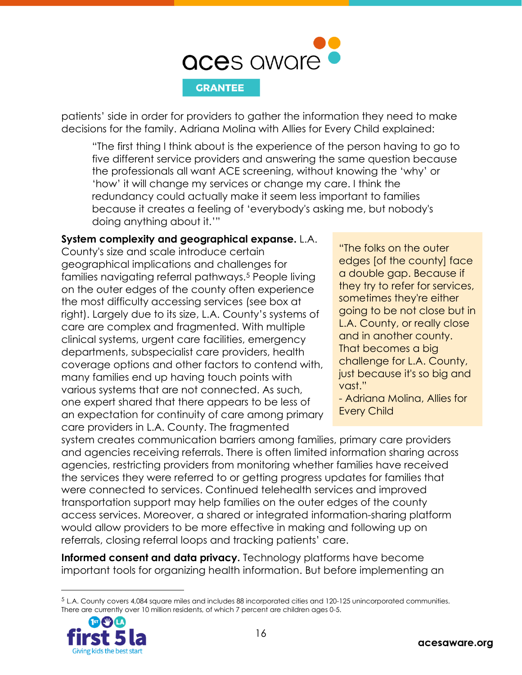

patients' side in order for providers to gather the information they need to make decisions for the family. Adriana Molina with Allies for Every Child explained:

"The first thing I think about is the experience of the person having to go to five different service providers and answering the same question because the professionals all want ACE screening, without knowing the 'why' or 'how' it will change my services or change my care. I think the redundancy could actually make it seem less important to families because it creates a feeling of 'everybody's asking me, but nobody's doing anything about it.'"

### **System complexity and geographical expanse.** L.A.

County's size and scale introduce certain geographical implications and challenges for families navigating referral pathways.<sup>5</sup> People living on the outer edges of the county often experience the most difficulty accessing services (see box at right). Largely due to its size, L.A. County's systems of care are complex and fragmented. With multiple clinical systems, urgent care facilities, emergency departments, subspecialist care providers, health coverage options and other factors to contend with, many families end up having touch points with various systems that are not connected. As such, one expert shared that there appears to be less of an expectation for continuity of care among primary care providers in L.A. County. The fragmented

"The folks on the outer edges [of the county] face a double gap. Because if they try to refer for services, sometimes they're either going to be not close but in L.A. County, or really close and in another county. That becomes a big challenge for L.A. County, just because it's so big and vast."

- Adriana Molina, Allies for Every Child

system creates communication barriers among families, primary care providers and agencies receiving referrals. There is often limited information sharing across agencies, restricting providers from monitoring whether families have received the services they were referred to or getting progress updates for families that were connected to services. Continued telehealth services and improved transportation support may help families on the outer edges of the county access services. Moreover, a shared or integrated information-sharing platform would allow providers to be more effective in making and following up on referrals, closing referral loops and tracking patients' care.

**Informed consent and data privacy.** Technology platforms have become important tools for organizing health information. But before implementing an

<sup>5</sup> L.A. County covers 4,084 square miles and includes 88 incorporated cities and 120-125 unincorporated communities. There are currently over 10 million residents, of which 7 percent are children ages 0-5.

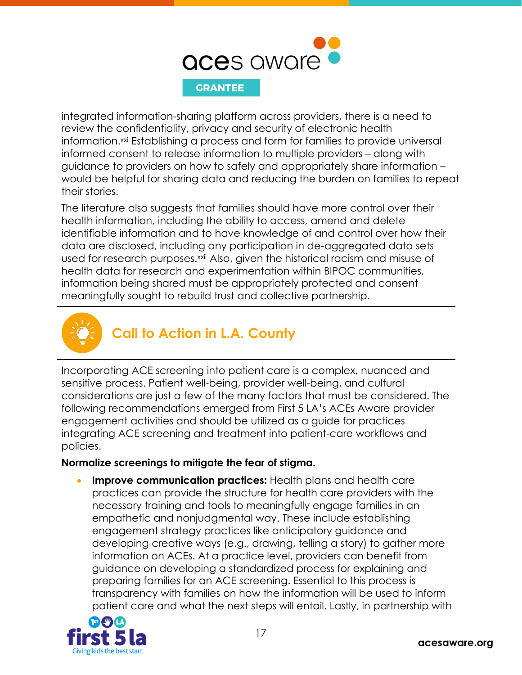

integrated information-sharing platform across providers, there is a need to review the confidentiality, privacy and security of electronic health information.<sup>xxi</sup> Establishing a process and form for families to provide universal informed consent to release information to multiple providers – along with guidance to providers on how to safely and appropriately share information – would be helpful for sharing data and reducing the burden on families to repeat their stories.

The literature also suggests that families should have more control over their health information, including the ability to access, amend and delete identifiable information and to have knowledge of and control over how their data are disclosed, including any participation in de-aggregated data sets used for research purposes.<sup>xxii</sup> Also, given the historical racism and misuse of health data for research and experimentation within BIPOC communities, information being shared must be appropriately protected and consent meaningfully sought to rebuild trust and collective partnership.



### <span id="page-17-0"></span>**Call to Action in L.A. County**

Incorporating ACE screening into patient care is a complex, nuanced and sensitive process. Patient well-being, provider well-being, and cultural considerations are just a few of the many factors that must be considered. The following recommendations emerged from First 5 LA's ACEs Aware provider engagement activities and should be utilized as a guide for practices integrating ACE screening and treatment into patient-care workflows and policies.

### **Normalize screenings to mitigate the fear of stigma.**

• **Improve communication practices:** Health plans and health care practices can provide the structure for health care providers with the necessary training and tools to meaningfully engage families in an empathetic and nonjudgmental way. These include establishing engagement strategy practices like anticipatory guidance and developing creative ways (e.g., drawing, telling a story) to gather more information on ACEs. At a practice level, providers can benefit from guidance on developing a standardized process for explaining and preparing families for an ACE screening. Essential to this process is transparency with families on how the information will be used to inform patient care and what the next steps will entail. Lastly, in partnership with

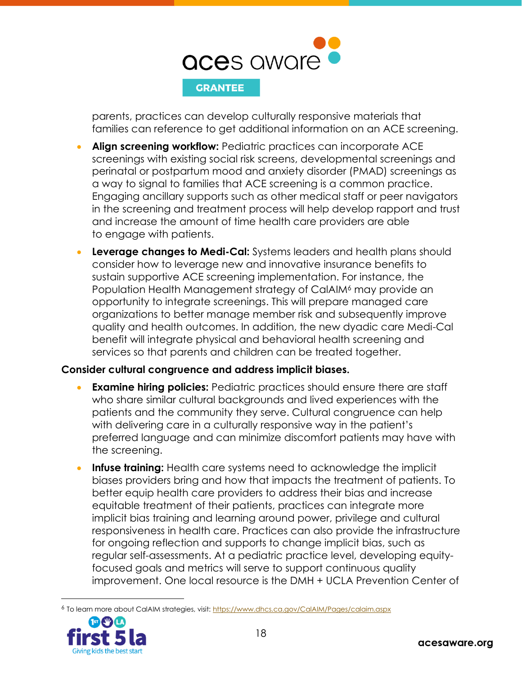

parents, practices can develop culturally responsive materials that families can reference to get additional information on an ACE screening.

- **Align screening workflow:** Pediatric practices can incorporate ACE screenings with existing social risk screens, developmental screenings and perinatal or postpartum mood and anxiety disorder (PMAD) screenings as a way to signal to families that ACE screening is a common practice. Engaging ancillary supports such as other medical staff or peer navigators in the screening and treatment process will help develop rapport and trust and increase the amount of time health care providers are able to engage with patients.
- **Leverage changes to Medi-Cal:** Systems leaders and health plans should consider how to leverage new and innovative insurance benefits to sustain supportive ACE screening implementation. For instance, the Population Health Management strategy of CalAIM<sup>6</sup> may provide an opportunity to integrate screenings. This will prepare managed care organizations to better manage member risk and subsequently improve quality and health outcomes. In addition, the new dyadic care Medi-Cal benefit will integrate physical and behavioral health screening and services so that parents and children can be treated together.

### **Consider cultural congruence and address implicit biases.**

- **Examine hiring policies:** Pediatric practices should ensure there are staff who share similar cultural backgrounds and lived experiences with the patients and the community they serve. Cultural congruence can help with delivering care in a culturally responsive way in the patient's preferred language and can minimize discomfort patients may have with the screening.
- **Infuse training:** Health care systems need to acknowledge the implicit biases providers bring and how that impacts the treatment of patients. To better equip health care providers to address their bias and increase equitable treatment of their patients, practices can integrate more implicit bias training and learning around power, privilege and cultural responsiveness in health care. Practices can also provide the infrastructure for ongoing reflection and supports to change implicit bias, such as regular self-assessments. At a pediatric practice level, developing equityfocused goals and metrics will serve to support continuous quality improvement. One local resource is the DMH + UCLA Prevention Center of

<sup>6</sup> To learn more about CalAIM strategies, visit[: https://www.dhcs.ca.gov/CalAIM/Pages/calaim.aspx](https://www.dhcs.ca.gov/CalAIM/Pages/calaim.aspx)

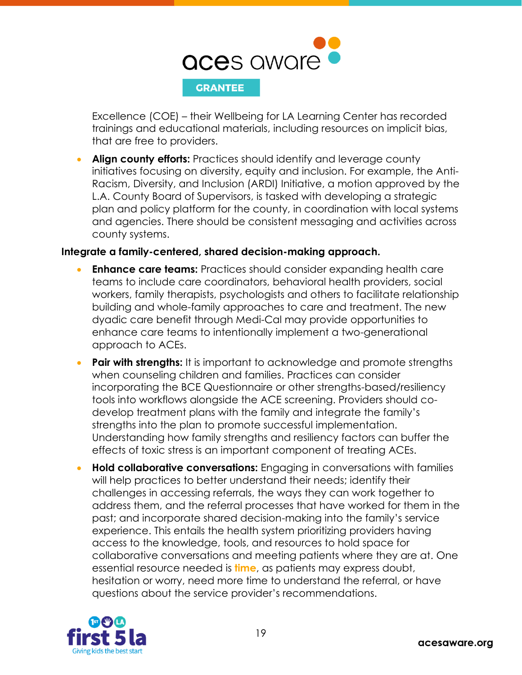

Excellence (COE) – their Wellbeing for LA Learning Center has recorded trainings and educational materials, including resources on implicit bias, that are free to providers.

• **Align county efforts:** Practices should identify and leverage county initiatives focusing on diversity, equity and inclusion. For example, the Anti-Racism, Diversity, and Inclusion (ARDI) Initiative, a motion approved by the L.A. County Board of Supervisors, is tasked with developing a strategic plan and policy platform for the county, in coordination with local systems and agencies. There should be consistent messaging and activities across county systems.

### **Integrate a family-centered, shared decision-making approach.**

- **Enhance care teams:** Practices should consider expanding health care teams to include care coordinators, behavioral health providers, social workers, family therapists, psychologists and others to facilitate relationship building and whole-family approaches to care and treatment. The new dyadic care benefit through Medi-Cal may provide opportunities to enhance care teams to intentionally implement a two-generational approach to ACEs.
- **Pair with strengths:** It is important to acknowledge and promote strengths when counseling children and families. Practices can consider incorporating the BCE Questionnaire or other strengths-based/resiliency tools into workflows alongside the ACE screening. Providers should codevelop treatment plans with the family and integrate the family's strengths into the plan to promote successful implementation. Understanding how family strengths and resiliency factors can buffer the effects of toxic stress is an important component of treating ACEs.
- **Hold collaborative conversations:** Engaging in conversations with families will help practices to better understand their needs; identify their challenges in accessing referrals, the ways they can work together to address them, and the referral processes that have worked for them in the past; and incorporate shared decision-making into the family's service experience. This entails the health system prioritizing providers having access to the knowledge, tools, and resources to hold space for collaborative conversations and meeting patients where they are at. One essential resource needed is **time**, as patients may express doubt, hesitation or worry, need more time to understand the referral, or have questions about the service provider's recommendations.

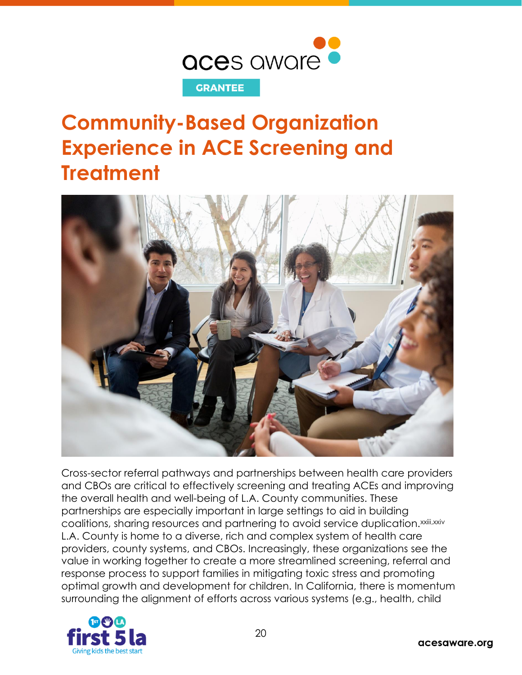

# <span id="page-20-0"></span>**Community-Based Organization Experience in ACE Screening and Treatment**



Cross-sector referral pathways and partnerships between health care providers and CBOs are critical to effectively screening and treating ACEs and improving the overall health and well-being of L.A. County communities. These partnerships are especially important in large settings to aid in building coalitions, sharing resources and partnering to avoid service duplication.xxiii,xxiv L.A. County is home to a diverse, rich and complex system of health care providers, county systems, and CBOs. Increasingly, these organizations see the value in working together to create a more streamlined screening, referral and response process to support families in mitigating toxic stress and promoting optimal growth and development for children. In California, there is momentum surrounding the alignment of efforts across various systems (e.g., health, child

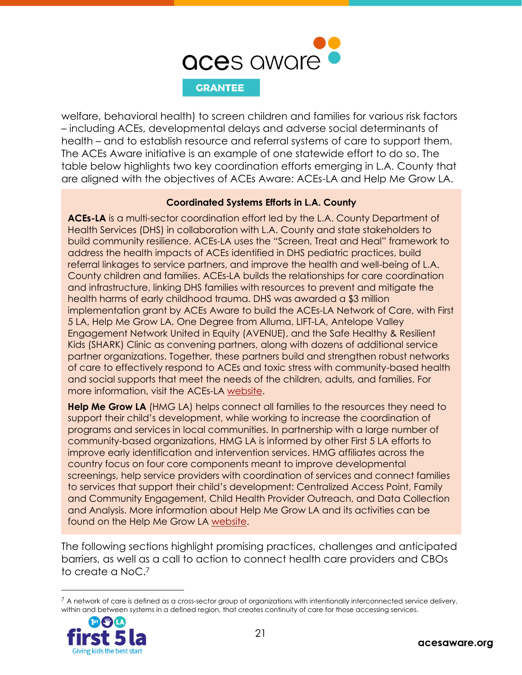

welfare, behavioral health) to screen children and families for various risk factors – including ACEs, developmental delays and adverse social determinants of health – and to establish resource and referral systems of care to support them. The ACEs Aware initiative is an example of one statewide effort to do so. The table below highlights two key coordination efforts emerging in L.A. County that are aligned with the objectives of ACEs Aware: ACEs-LA and Help Me Grow LA.

#### **Coordinated Systems Efforts in L.A. County**

**ACEs-LA** is a multi-sector coordination effort led by the L.A. County Department of Health Services (DHS) in collaboration with L.A. County and state stakeholders to build community resilience. ACEs-LA uses the "Screen, Treat and Heal" framework to address the health impacts of ACEs identified in DHS pediatric practices, build referral linkages to service partners, and improve the health and well-being of L.A. County children and families. ACEs-LA builds the relationships for care coordination and infrastructure, linking DHS families with resources to prevent and mitigate the health harms of early childhood trauma. DHS was awarded a \$3 million implementation grant by ACEs Aware to build the ACEs-LA Network of Care, with First 5 LA, Help Me Grow LA, One Degree from Alluma, LIFT-LA, Antelope Valley Engagement Network United in Equity (AVENUE), and the Safe Healthy & Resilient Kids (SHARK) Clinic as convening partners, along with dozens of additional service partner organizations. Together, these partners build and strengthen robust networks of care to effectively respond to ACEs and toxic stress with community-based health and social supports that meet the needs of the children, adults, and families. For more information, visit the ACEs-LA [website.](https://aces-la.org/)

**Help Me Grow LA** (HMG LA) helps connect all families to the resources they need to support their child's development, while working to increase the coordination of programs and services in local communities. In partnership with a large number of community-based organizations, HMG LA is informed by other First 5 LA efforts to improve early identification and intervention services. HMG affiliates across the country focus on four core components meant to improve developmental screenings, help service providers with coordination of services and connect families to services that support their child's development: Centralized Access Point, Family and Community Engagement, Child Health Provider Outreach, and Data Collection and Analysis. More information about Help Me Grow LA and its activities can be found on the Help Me Grow LA [website.](https://www.first5la.org/help-me-grow/)

The following sections highlight promising practices, challenges and anticipated barriers, as well as a call to action to connect health care providers and CBOs to create a NoC. 7

 $7$  A network of care is defined as a cross-sector group of organizations with intentionally interconnected service delivery, within and between systems in a defined region, that creates continuity of care for those accessing services.

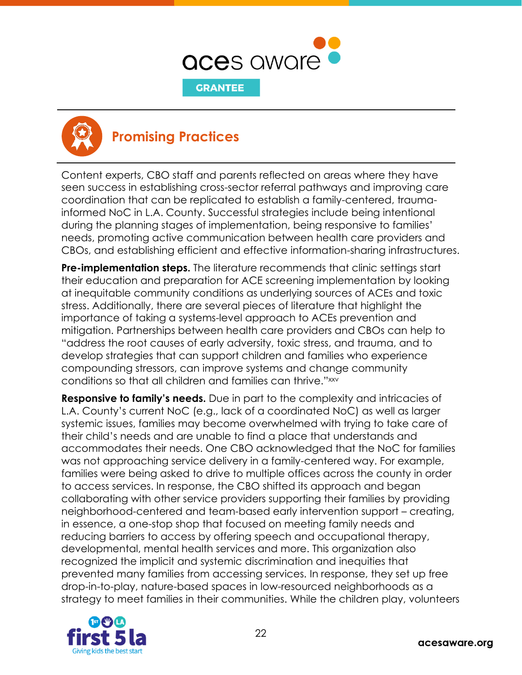



### <span id="page-22-0"></span>**Promising Practices**

Content experts, CBO staff and parents reflected on areas where they have seen success in establishing cross-sector referral pathways and improving care coordination that can be replicated to establish a family-centered, traumainformed NoC in L.A. County. Successful strategies include being intentional during the planning stages of implementation, being responsive to families' needs, promoting active communication between health care providers and CBOs, and establishing efficient and effective information-sharing infrastructures.

**Pre-implementation steps.** The literature recommends that clinic settings start their education and preparation for ACE screening implementation by looking at inequitable community conditions as underlying sources of ACEs and toxic stress. Additionally, there are several pieces of literature that highlight the importance of taking a systems-level approach to ACEs prevention and mitigation. Partnerships between health care providers and CBOs can help to "address the root causes of early adversity, toxic stress, and trauma, and to develop strategies that can support children and families who experience compounding stressors, can improve systems and change community conditions so that all children and families can thrive." xxv

**Responsive to family's needs.** Due in part to the complexity and intricacies of L.A. County's current NoC (e.g., lack of a coordinated NoC) as well as larger systemic issues, families may become overwhelmed with trying to take care of their child's needs and are unable to find a place that understands and accommodates their needs. One CBO acknowledged that the NoC for families was not approaching service delivery in a family-centered way. For example, families were being asked to drive to multiple offices across the county in order to access services. In response, the CBO shifted its approach and began collaborating with other service providers supporting their families by providing neighborhood-centered and team-based early intervention support – creating, in essence, a one-stop shop that focused on meeting family needs and reducing barriers to access by offering speech and occupational therapy, developmental, mental health services and more. This organization also recognized the implicit and systemic discrimination and inequities that prevented many families from accessing services. In response, they set up free drop-in-to-play, nature-based spaces in low-resourced neighborhoods as a strategy to meet families in their communities. While the children play, volunteers

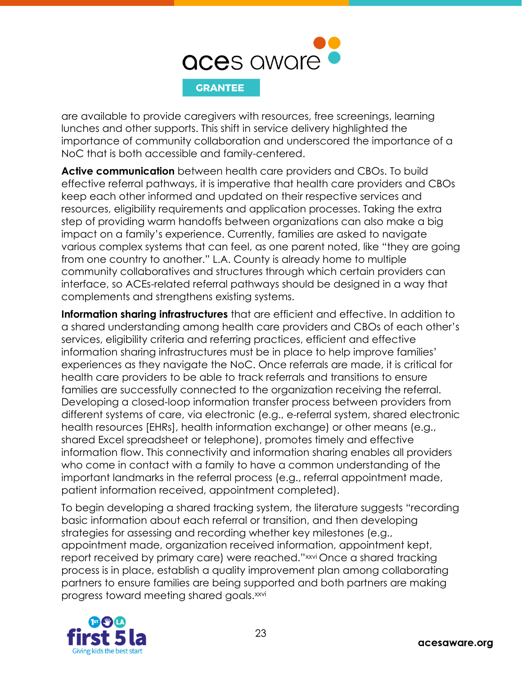

are available to provide caregivers with resources, free screenings, learning lunches and other supports. This shift in service delivery highlighted the importance of community collaboration and underscored the importance of a NoC that is both accessible and family-centered.

**Active communication** between health care providers and CBOs. To build effective referral pathways, it is imperative that health care providers and CBOs keep each other informed and updated on their respective services and resources, eligibility requirements and application processes. Taking the extra step of providing warm handoffs between organizations can also make a big impact on a family's experience. Currently, families are asked to navigate various complex systems that can feel, as one parent noted, like "they are going from one country to another." L.A. County is already home to multiple community collaboratives and structures through which certain providers can interface, so ACEs-related referral pathways should be designed in a way that complements and strengthens existing systems.

**Information sharing infrastructures** that are efficient and effective. In addition to a shared understanding among health care providers and CBOs of each other's services, eligibility criteria and referring practices, efficient and effective information sharing infrastructures must be in place to help improve families' experiences as they navigate the NoC. Once referrals are made, it is critical for health care providers to be able to track referrals and transitions to ensure families are successfully connected to the organization receiving the referral. Developing a closed-loop information transfer process between providers from different systems of care, via electronic (e.g., e-referral system, shared electronic health resources [EHRs], health information exchange) or other means (e.g., shared Excel spreadsheet or telephone), promotes timely and effective information flow. This connectivity and information sharing enables all providers who come in contact with a family to have a common understanding of the important landmarks in the referral process (e.g., referral appointment made, patient information received, appointment completed).

To begin developing a shared tracking system, the literature suggests "recording basic information about each referral or transition, and then developing strategies for assessing and recording whether key milestones (e.g., appointment made, organization received information, appointment kept, report received by primary care) were reached."<sup>xxvi</sup> Once a shared tracking process is in place, establish a quality improvement plan among collaborating partners to ensure families are being supported and both partners are making progress toward meeting shared goals.<sup>xxvi</sup>

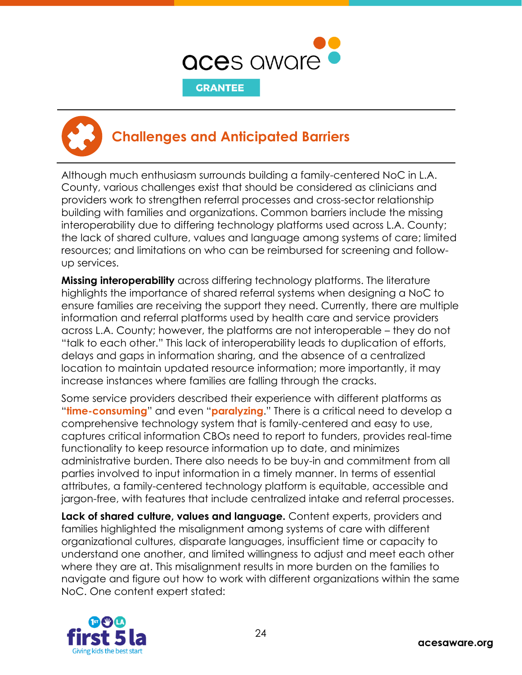



### <span id="page-24-0"></span>**Challenges and Anticipated Barriers**

Although much enthusiasm surrounds building a family-centered NoC in L.A. County, various challenges exist that should be considered as clinicians and providers work to strengthen referral processes and cross-sector relationship building with families and organizations. Common barriers include the missing interoperability due to differing technology platforms used across L.A. County; the lack of shared culture, values and language among systems of care; limited resources; and limitations on who can be reimbursed for screening and followup services.

**Missing interoperability** across differing technology platforms. The literature highlights the importance of shared referral systems when designing a NoC to ensure families are receiving the support they need. Currently, there are multiple information and referral platforms used by health care and service providers across L.A. County; however, the platforms are not interoperable – they do not "talk to each other." This lack of interoperability leads to duplication of efforts, delays and gaps in information sharing, and the absence of a centralized location to maintain updated resource information; more importantly, it may increase instances where families are falling through the cracks.

Some service providers described their experience with different platforms as "**time-consuming**" and even "**paralyzing**." There is a critical need to develop a comprehensive technology system that is family-centered and easy to use, captures critical information CBOs need to report to funders, provides real-time functionality to keep resource information up to date, and minimizes administrative burden. There also needs to be buy-in and commitment from all parties involved to input information in a timely manner. In terms of essential attributes, a family-centered technology platform is equitable, accessible and jargon-free, with features that include centralized intake and referral processes.

**Lack of shared culture, values and language.** Content experts, providers and families highlighted the misalignment among systems of care with different organizational cultures, disparate languages, insufficient time or capacity to understand one another, and limited willingness to adjust and meet each other where they are at. This misalignment results in more burden on the families to navigate and figure out how to work with different organizations within the same NoC. One content expert stated:

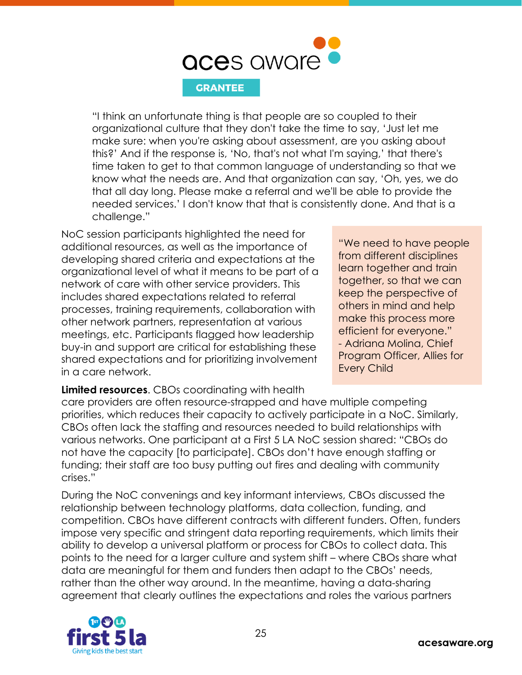

"I think an unfortunate thing is that people are so coupled to their organizational culture that they don't take the time to say, 'Just let me make sure: when you're asking about assessment, are you asking about this?' And if the response is, 'No, that's not what I'm saying,' that there's time taken to get to that common language of understanding so that we know what the needs are. And that organization can say, 'Oh, yes, we do that all day long. Please make a referral and we'll be able to provide the needed services.' I don't know that that is consistently done. And that is a challenge."

NoC session participants highlighted the need for additional resources, as well as the importance of developing shared criteria and expectations at the organizational level of what it means to be part of a network of care with other service providers. This includes shared expectations related to referral processes, training requirements, collaboration with other network partners, representation at various meetings, etc. Participants flagged how leadership buy-in and support are critical for establishing these shared expectations and for prioritizing involvement in a care network.

**Limited resources**. CBOs coordinating with health

"We need to have people from different disciplines learn together and train together, so that we can keep the perspective of others in mind and help make this process more efficient for everyone." - Adriana Molina, Chief Program Officer, Allies for Every Child

care providers are often resource-strapped and have multiple competing priorities, which reduces their capacity to actively participate in a NoC. Similarly, CBOs often lack the staffing and resources needed to build relationships with various networks. One participant at a First 5 LA NoC session shared: "CBOs do not have the capacity [to participate]. CBOs don't have enough staffing or funding; their staff are too busy putting out fires and dealing with community crises."

During the NoC convenings and key informant interviews, CBOs discussed the relationship between technology platforms, data collection, funding, and competition. CBOs have different contracts with different funders. Often, funders impose very specific and stringent data reporting requirements, which limits their ability to develop a universal platform or process for CBOs to collect data. This points to the need for a larger culture and system shift – where CBOs share what data are meaningful for them and funders then adapt to the CBOs' needs, rather than the other way around. In the meantime, having a data-sharing agreement that clearly outlines the expectations and roles the various partners

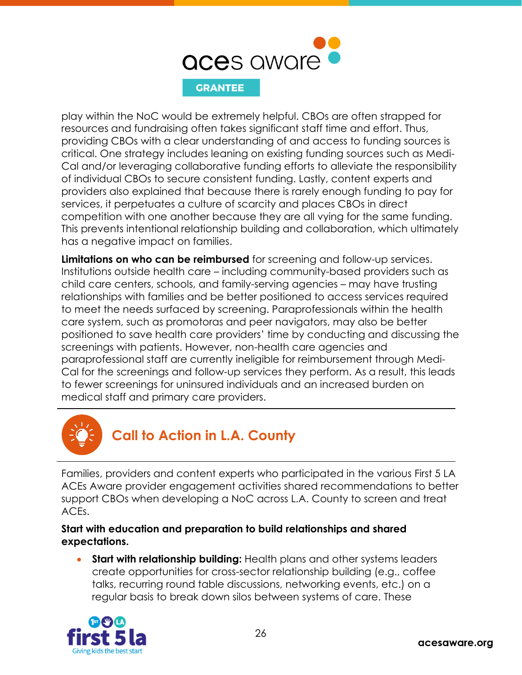

play within the NoC would be extremely helpful. CBOs are often strapped for resources and fundraising often takes significant staff time and effort. Thus, providing CBOs with a clear understanding of and access to funding sources is critical. One strategy includes leaning on existing funding sources such as Medi-Cal and/or leveraging collaborative funding efforts to alleviate the responsibility of individual CBOs to secure consistent funding. Lastly, content experts and providers also explained that because there is rarely enough funding to pay for services, it perpetuates a culture of scarcity and places CBOs in direct competition with one another because they are all vying for the same funding. This prevents intentional relationship building and collaboration, which ultimately has a negative impact on families.

**Limitations on who can be reimbursed** for screening and follow-up services. Institutions outside health care – including community-based providers such as child care centers, schools, and family-serving agencies – may have trusting relationships with families and be better positioned to access services required to meet the needs surfaced by screening. Paraprofessionals within the health care system, such as promotoras and peer navigators, may also be better positioned to save health care providers' time by conducting and discussing the screenings with patients. However, non-health care agencies and paraprofessional staff are currently ineligible for reimbursement through Medi-Cal for the screenings and follow-up services they perform. As a result, this leads to fewer screenings for uninsured individuals and an increased burden on medical staff and primary care providers.



### <span id="page-26-0"></span>**Call to Action in L.A. County**

Families, providers and content experts who participated in the various First 5 LA ACEs Aware provider engagement activities shared recommendations to better support CBOs when developing a NoC across L.A. County to screen and treat ACEs.

**Start with education and preparation to build relationships and shared expectations.**

• **Start with relationship building:** Health plans and other systems leaders create opportunities for cross-sector relationship building (e.g., coffee talks, recurring round table discussions, networking events, etc.) on a regular basis to break down silos between systems of care. These

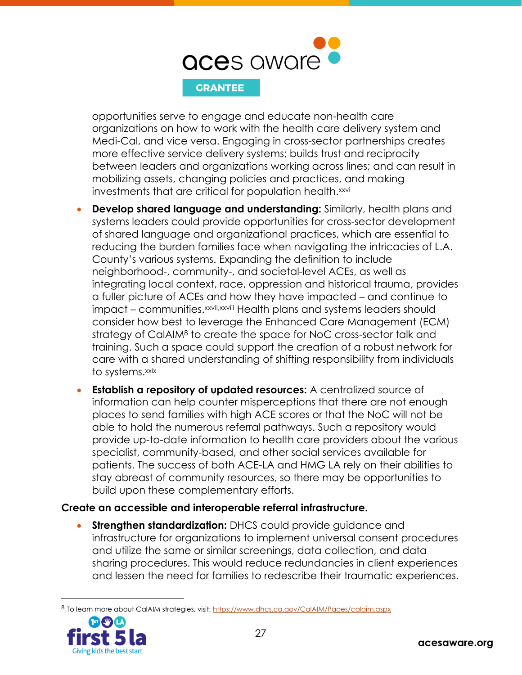

opportunities serve to engage and educate non-health care organizations on how to work with the health care delivery system and Medi-Cal, and vice versa. Engaging in cross-sector partnerships creates more effective service delivery systems; builds trust and reciprocity between leaders and organizations working across lines; and can result in mobilizing assets, changing policies and practices, and making investments that are critical for population health.<sup>xxvi</sup>

- **Develop shared language and understanding:** Similarly, health plans and systems leaders could provide opportunities for cross-sector development of shared language and organizational practices, which are essential to reducing the burden families face when navigating the intricacies of L.A. County's various systems. Expanding the definition to include neighborhood-, community-, and societal-level ACEs, as well as integrating local context, race, oppression and historical trauma, provides a fuller picture of ACEs and how they have impacted – and continue to impact – communities. xxvii,xxviii Health plans and systems leaders should consider how best to leverage the Enhanced Care Management (ECM) strategy of CalAIM<sup>8</sup> to create the space for NoC cross-sector talk and training. Such a space could support the creation of a robust network for care with a shared understanding of shifting responsibility from individuals to systems. xxix
- **Establish a repository of updated resources:** A centralized source of information can help counter misperceptions that there are not enough places to send families with high ACE scores or that the NoC will not be able to hold the numerous referral pathways. Such a repository would provide up-to-date information to health care providers about the various specialist, community-based, and other social services available for patients. The success of both ACE-LA and HMG LA rely on their abilities to stay abreast of community resources, so there may be opportunities to build upon these complementary efforts.

### **Create an accessible and interoperable referral infrastructure.**

**Strengthen standardization:** DHCS could provide guidance and infrastructure for organizations to implement universal consent procedures and utilize the same or similar screenings, data collection, and data sharing procedures. This would reduce redundancies in client experiences and lessen the need for families to redescribe their traumatic experiences.

<sup>8</sup> To learn more about CalAIM strategies, visit[: https://www.dhcs.ca.gov/CalAIM/Pages/calaim.aspx](https://www.dhcs.ca.gov/CalAIM/Pages/calaim.aspx)

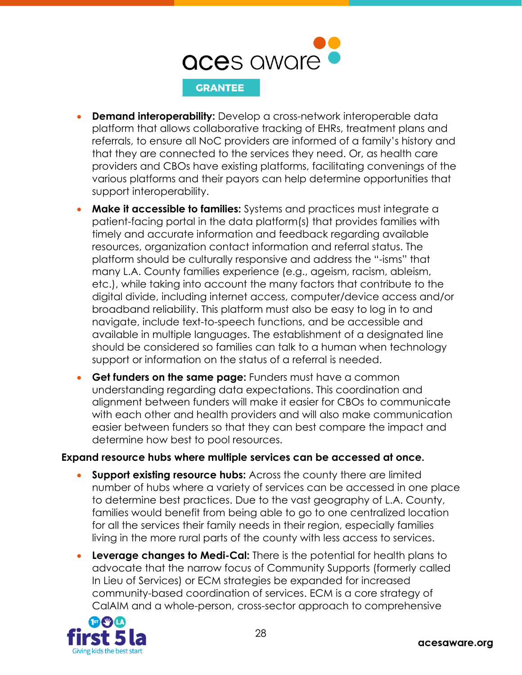

- **Demand interoperability:** Develop a cross-network interoperable data platform that allows collaborative tracking of EHRs, treatment plans and referrals, to ensure all NoC providers are informed of a family's history and that they are connected to the services they need. Or, as health care providers and CBOs have existing platforms, facilitating convenings of the various platforms and their payors can help determine opportunities that support interoperability.
- **Make it accessible to families:** Systems and practices must integrate a patient-facing portal in the data platform(s) that provides families with timely and accurate information and feedback regarding available resources, organization contact information and referral status. The platform should be culturally responsive and address the "-isms" that many L.A. County families experience (e.g., ageism, racism, ableism, etc.), while taking into account the many factors that contribute to the digital divide, including internet access, computer/device access and/or broadband reliability. This platform must also be easy to log in to and navigate, include text-to-speech functions, and be accessible and available in multiple languages. The establishment of a designated line should be considered so families can talk to a human when technology support or information on the status of a referral is needed.
- **Get funders on the same page:** Funders must have a common understanding regarding data expectations. This coordination and alignment between funders will make it easier for CBOs to communicate with each other and health providers and will also make communication easier between funders so that they can best compare the impact and determine how best to pool resources.

### **Expand resource hubs where multiple services can be accessed at once.**

- **Support existing resource hubs:** Across the county there are limited number of hubs where a variety of services can be accessed in one place to determine best practices. Due to the vast geography of L.A. County, families would benefit from being able to go to one centralized location for all the services their family needs in their region, especially families living in the more rural parts of the county with less access to services.
- **Leverage changes to Medi-Cal:** There is the potential for health plans to advocate that the narrow focus of Community Supports (formerly called In Lieu of Services) or ECM strategies be expanded for increased community-based coordination of services. ECM is a core strategy of CalAIM and a whole-person, cross-sector approach to comprehensive

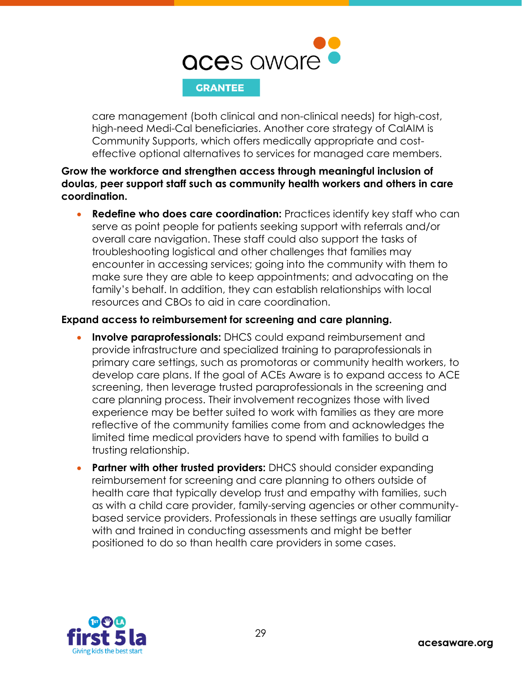

care management (both clinical and non-clinical needs) for high-cost, high-need Medi-Cal beneficiaries. Another core strategy of CalAIM is Community Supports, which offers medically appropriate and costeffective optional alternatives to services for managed care members.

**Grow the workforce and strengthen access through meaningful inclusion of doulas, peer support staff such as community health workers and others in care coordination.**

• **Redefine who does care coordination:** Practices identify key staff who can serve as point people for patients seeking support with referrals and/or overall care navigation. These staff could also support the tasks of troubleshooting logistical and other challenges that families may encounter in accessing services; going into the community with them to make sure they are able to keep appointments; and advocating on the family's behalf. In addition, they can establish relationships with local resources and CBOs to aid in care coordination.

### **Expand access to reimbursement for screening and care planning.**

- **Involve paraprofessionals:** DHCS could expand reimbursement and provide infrastructure and specialized training to paraprofessionals in primary care settings, such as promotoras or community health workers, to develop care plans. If the goal of ACEs Aware is to expand access to ACE screening, then leverage trusted paraprofessionals in the screening and care planning process. Their involvement recognizes those with lived experience may be better suited to work with families as they are more reflective of the community families come from and acknowledges the limited time medical providers have to spend with families to build a trusting relationship.
- **Partner with other trusted providers:** DHCS should consider expanding reimbursement for screening and care planning to others outside of health care that typically develop trust and empathy with families, such as with a child care provider, family-serving agencies or other communitybased service providers. Professionals in these settings are usually familiar with and trained in conducting assessments and might be better positioned to do so than health care providers in some cases.

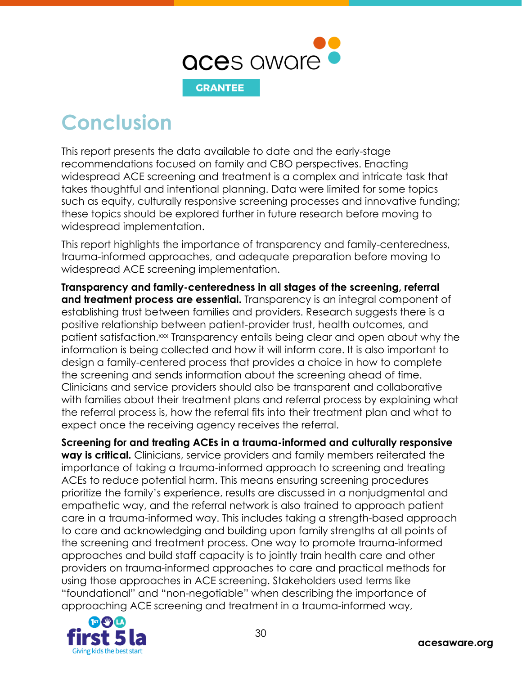

<span id="page-30-0"></span>**Conclusion**

This report presents the data available to date and the early-stage recommendations focused on family and CBO perspectives. Enacting widespread ACE screening and treatment is a complex and intricate task that takes thoughtful and intentional planning. Data were limited for some topics such as equity, culturally responsive screening processes and innovative funding; these topics should be explored further in future research before moving to widespread implementation.

This report highlights the importance of transparency and family-centeredness, trauma-informed approaches, and adequate preparation before moving to widespread ACE screening implementation.

**Transparency and family-centeredness in all stages of the screening, referral and treatment process are essential.** Transparency is an integral component of establishing trust between families and providers. Research suggests there is a positive relationship between patient-provider trust, health outcomes, and patient satisfaction.<sup>xx</sup> Transparency entails being clear and open about why the information is being collected and how it will inform care. It is also important to design a family-centered process that provides a choice in how to complete the screening and sends information about the screening ahead of time. Clinicians and service providers should also be transparent and collaborative with families about their treatment plans and referral process by explaining what the referral process is, how the referral fits into their treatment plan and what to expect once the receiving agency receives the referral.

**Screening for and treating ACEs in a trauma-informed and culturally responsive way is critical.** Clinicians, service providers and family members reiterated the importance of taking a trauma-informed approach to screening and treating ACEs to reduce potential harm. This means ensuring screening procedures prioritize the family's experience, results are discussed in a nonjudgmental and empathetic way, and the referral network is also trained to approach patient care in a trauma-informed way. This includes taking a strength-based approach to care and acknowledging and building upon family strengths at all points of the screening and treatment process. One way to promote trauma-informed approaches and build staff capacity is to jointly train health care and other providers on trauma-informed approaches to care and practical methods for using those approaches in ACE screening. Stakeholders used terms like "foundational" and "non-negotiable" when describing the importance of approaching ACE screening and treatment in a trauma-informed way,

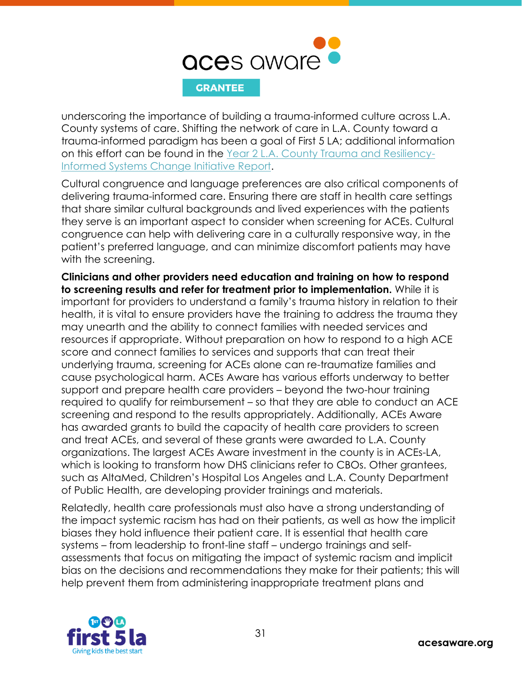

underscoring the importance of building a trauma-informed culture across L.A. County systems of care. Shifting the network of care in L.A. County toward a trauma-informed paradigm has been a goal of First 5 LA; additional information on this effort can be found in the [Year 2 L.A. County Trauma and Resiliency-](https://www.first5la.org/postfiles/files/TRISC-Y2-Lessons.pdf)[Informed Systems Change Initiative Report.](https://www.first5la.org/postfiles/files/TRISC-Y2-Lessons.pdf)

Cultural congruence and language preferences are also critical components of delivering trauma-informed care. Ensuring there are staff in health care settings that share similar cultural backgrounds and lived experiences with the patients they serve is an important aspect to consider when screening for ACEs. Cultural congruence can help with delivering care in a culturally responsive way, in the patient's preferred language, and can minimize discomfort patients may have with the screening.

**Clinicians and other providers need education and training on how to respond to screening results and refer for treatment prior to implementation.** While it is important for providers to understand a family's trauma history in relation to their health, it is vital to ensure providers have the training to address the trauma they may unearth and the ability to connect families with needed services and resources if appropriate. Without preparation on how to respond to a high ACE score and connect families to services and supports that can treat their underlying trauma, screening for ACEs alone can re-traumatize families and cause psychological harm. ACEs Aware has various efforts underway to better support and prepare health care providers – beyond the two-hour training required to qualify for reimbursement – so that they are able to conduct an ACE screening and respond to the results appropriately. Additionally, ACEs Aware has awarded grants to build the capacity of health care providers to screen and treat ACEs, and several of these grants were awarded to L.A. County organizations. The largest ACEs Aware investment in the county is in ACEs-LA, which is looking to transform how DHS clinicians refer to CBOs. Other grantees, such as AltaMed, Children's Hospital Los Angeles and L.A. County Department of Public Health, are developing provider trainings and materials.

Relatedly, health care professionals must also have a strong understanding of the impact systemic racism has had on their patients, as well as how the implicit biases they hold influence their patient care. It is essential that health care systems – from leadership to front-line staff – undergo trainings and selfassessments that focus on mitigating the impact of systemic racism and implicit bias on the decisions and recommendations they make for their patients; this will help prevent them from administering inappropriate treatment plans and

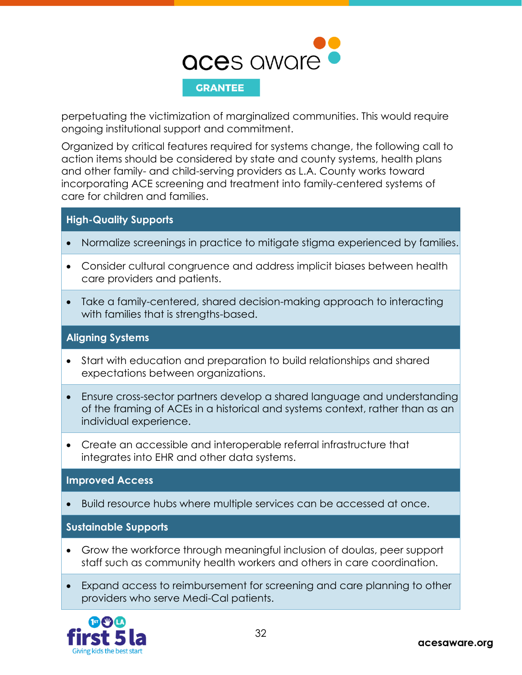

perpetuating the victimization of marginalized communities. This would require ongoing institutional support and commitment.

Organized by critical features required for systems change, the following call to action items should be considered by state and county systems, health plans and other family- and child-serving providers as L.A. County works toward incorporating ACE screening and treatment into family-centered systems of care for children and families.

### **High-Quality Supports**

- Normalize screenings in practice to mitigate stigma experienced by families.
- Consider cultural congruence and address implicit biases between health care providers and patients.
- Take a family-centered, shared decision-making approach to interacting with families that is strengths-based.

### **Aligning Systems**

- Start with education and preparation to build relationships and shared expectations between organizations.
- Ensure cross-sector partners develop a shared language and understanding of the framing of ACEs in a historical and systems context, rather than as an individual experience.
- Create an accessible and interoperable referral infrastructure that integrates into EHR and other data systems.

### **Improved Access**

• Build resource hubs where multiple services can be accessed at once.

**Sustainable Supports**

- Grow the workforce through meaningful inclusion of doulas, peer support staff such as community health workers and others in care coordination.
- Expand access to reimbursement for screening and care planning to other providers who serve Medi-Cal patients.

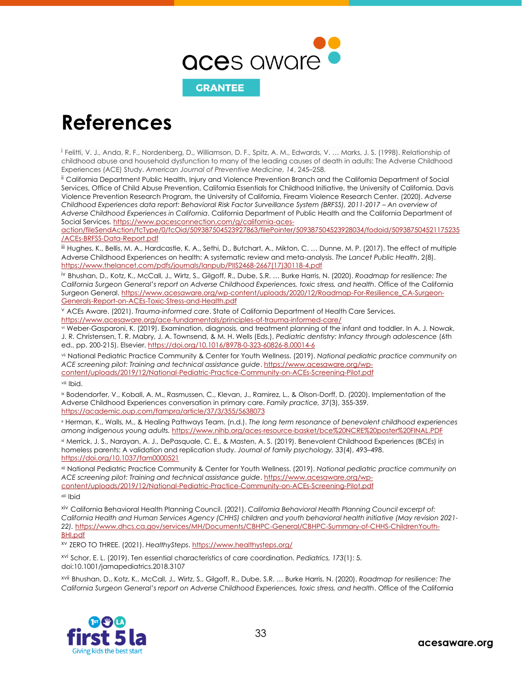

## <span id="page-33-0"></span>**References**

<sup>i</sup> Felitti, V. J., Anda, R. F., Nordenberg, D., Williamson, D. F., Spitz, A. M., Edwards, V. … Marks, J. S. (1998). Relationship of childhood abuse and household dysfunction to many of the leading causes of death in adults: The Adverse Childhood Experiences (ACE) Study. *American Journal of Preventive Medicine, 14*, 245–258.

ii California Department Public Health, Injury and Violence Prevention Branch and the California Department of Social Services, Office of Child Abuse Prevention, California Essentials for Childhood Initiative, the University of California, Davis Violence Prevention Research Program, the University of California, Firearm Violence Research Center. (2020). *Adverse Childhood Experiences data report: Behavioral Risk Factor Surveillance System (BRFSS), 2011-2017 – An overview of Adverse Childhood Experiences in California*. California Department of Public Health and the California Department of Social Services. [https://www.pacesconnection.com/g/california-aces-](https://www.pacesconnection.com/g/california-aces-action/fileSendAction/fcType/0/fcOid/509387504523927863/filePointer/509387504523928034/fodoid/509387504521175235/ACEs-BRFSS-Data-Report.pdf)

[action/fileSendAction/fcType/0/fcOid/509387504523927863/filePointer/509387504523928034/fodoid/509387504521175235](https://www.pacesconnection.com/g/california-aces-action/fileSendAction/fcType/0/fcOid/509387504523927863/filePointer/509387504523928034/fodoid/509387504521175235/ACEs-BRFSS-Data-Report.pdf) [/ACEs-BRFSS-Data-Report.pdf](https://www.pacesconnection.com/g/california-aces-action/fileSendAction/fcType/0/fcOid/509387504523927863/filePointer/509387504523928034/fodoid/509387504521175235/ACEs-BRFSS-Data-Report.pdf)

iii Hughes, K., Bellis, M. A., Hardcastle, K. A., Sethi, D., Butchart, A., Mikton, C. … Dunne, M. P. (2017). The effect of multiple Adverse Childhood Experiences on health: A systematic review and meta-analysis. *The Lancet Public Health*, 2(8). [https://www.thelancet.com/pdfs/journals/lanpub/PIIS2468-2667\(17\)30118-4.pdf](https://www.thelancet.com/pdfs/journals/lanpub/PIIS2468-2667(17)30118-4.pdf)

iv Bhushan, D., Kotz, K., McCall, J., Wirtz, S., Gilgoff, R., Dube, S.R. … Burke Harris, N. (2020). *Roadmap for resilience: The California Surgeon General's report on Adverse Childhood Experiences, toxic stress, and health*. Office of the California Surgeon General. [https://www.acesaware.org/wp-content/uploads/2020/12/Roadmap-For-Resilience\\_CA-Surgeon-](https://www.acesaware.org/wp-content/uploads/2020/12/Roadmap-For-Resilience_CA-Surgeon-Generals-Report-on-ACEs-Toxic-Stress-and-Health.pdf)[Generals-Report-on-ACEs-Toxic-Stress-and-Health.pdf](https://www.acesaware.org/wp-content/uploads/2020/12/Roadmap-For-Resilience_CA-Surgeon-Generals-Report-on-ACEs-Toxic-Stress-and-Health.pdf)

<sup>v</sup> ACEs Aware. (2021). *Trauma-informed care*. State of California Department of Health Care Services. <https://www.acesaware.org/ace-fundamentals/principles-of-trauma-informed-care/>

vi Weber-Gasparoni, K. (2019). Examination, diagnosis, and treatment planning of the infant and toddler. In A. J. Nowak, J. R. Christensen, T. R. Mabry, J. A. Townsend, & M. H. Wells (Eds.), *Pediatric dentistry: Infancy through adolescence* (6th ed., pp. 200-215). Elsevier[. https://doi.org/10.1016/B978-0-323-60826-8.00014-6](https://doi.org/10.1016/B978-0-323-60826-8.00014-6)

vii National Pediatric Practice Community & Center for Youth Wellness. (2019). *National pediatric practice community on ACE screening pilot: Training and technical assistance guide*. [https://www.acesaware.org/wp](https://www.acesaware.org/wp-content/uploads/2019/12/National-Pediatric-Practice-Community-on-ACEs-Screening-Pilot.pdf)[content/uploads/2019/12/National-Pediatric-Practice-Community-on-ACEs-Screening-Pilot.pdf](https://www.acesaware.org/wp-content/uploads/2019/12/National-Pediatric-Practice-Community-on-ACEs-Screening-Pilot.pdf)

viii Ibid.

ix Bodendorfer, V., Koball, A. M., Rasmussen, C., Klevan, J., Ramirez, L., & Olson-Dorff, D. (2020). Implementation of the Adverse Childhood Experiences conversation in primary care. *Family practice, 37*(3), 355-359. <https://academic.oup.com/fampra/article/37/3/355/5638073>

<sup>x</sup> Herman, K., Walls, M., & Healing Pathways Team. (n.d.). *The long term resonance of benevolent childhood experiences among indigenous young adults.* <https://www.nihb.org/aces-resource-basket/bce%20NCRE%20poster%20FINAL.PDF>

xi Merrick, J. S., Narayan, A. J., DePasquale, C. E., & Masten, A. S. (2019). Benevolent Childhood Experiences (BCEs) in homeless parents: A validation and replication study. *Journal of family psychology, 33*(4), 493–498. <https://doi.org/10.1037/fam0000521>

xii National Pediatric Practice Community & Center for Youth Wellness. (2019). *National pediatric practice community on ACE screening pilot: Training and technical assistance guide*. [https://www.acesaware.org/wp](https://www.acesaware.org/wp-content/uploads/2019/12/National-Pediatric-Practice-Community-on-ACEs-Screening-Pilot.pdf)[content/uploads/2019/12/National-Pediatric-Practice-Community-on-ACEs-Screening-Pilot.pdf](https://www.acesaware.org/wp-content/uploads/2019/12/National-Pediatric-Practice-Community-on-ACEs-Screening-Pilot.pdf)

xiii Ibid

xiv California Behavioral Health Planning Council. (2021). *California Behavioral Health Planning Council excerpt of: California Health and Human Services Agency (CHHS) children and youth behavioral health initiative (May revision 2021- 22).* [https://www.dhcs.ca.gov/services/MH/Documents/CBHPC-General/CBHPC-Summary-of-CHHS-ChildrenYouth-](https://www.dhcs.ca.gov/services/MH/Documents/CBHPC-General/CBHPC-Summary-of-CHHS-ChildrenYouth-BHI.pdf)[BHI.pdf](https://www.dhcs.ca.gov/services/MH/Documents/CBHPC-General/CBHPC-Summary-of-CHHS-ChildrenYouth-BHI.pdf)

xv ZERO TO THREE. (2021). *HealthySteps*. <https://www.healthysteps.org/>

xvi Schor, E. L. (2019). Ten essential characteristics of care coordination. *Pediatrics, 173*(1): 5. doi:10.1001/jamapediatrics.2018.3107

xvii Bhushan, D., Kotz, K., McCall, J., Wirtz, S., Gilgoff, R., Dube, S.R. … Burke Harris, N. (2020). *Roadmap for resilience: The California Surgeon General's report on Adverse Childhood Experiences, toxic stress, and health*. Office of the California